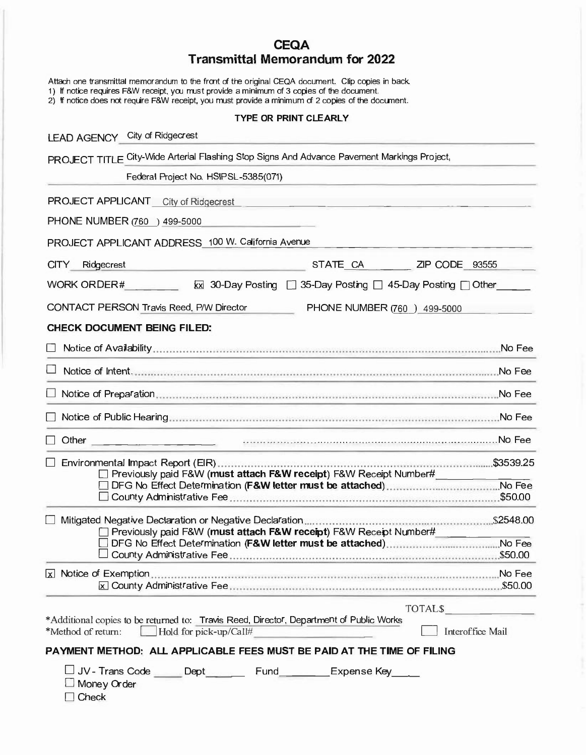# **CEQA Transmittal Memorandum for 2022**

Attach one transmittal memorandum to the front of the original CEQA document. Clip copies in back.

1) If notice requires F&W receipt, you must provide a minimum of 3 copies of the document.

2) If notice does not require F&W receipt, you must provide a minimum of 2 copies of the document.

### **TYPE OR PRINT CLEARLY**

| LEAD AGENCY City of Ridgecrest                                                                                                                                     |
|--------------------------------------------------------------------------------------------------------------------------------------------------------------------|
| PROJECT TITLE City-Wide Arterial Flashing Stop Signs And Advance Pavement Markings Project,                                                                        |
| Federal Project No. HSIPSL-5385(071)                                                                                                                               |
| PROJECT APPLICANT City of Ridgecrest                                                                                                                               |
| PHONE NUMBER (760 ) 499-5000                                                                                                                                       |
| PROJECT APPLICANT ADDRESS 100 W. California Avenue                                                                                                                 |
| STATE CA<br><b>CITY</b><br>Ridgecrest<br>$ZIP$ CODE $93555$                                                                                                        |
| <b>WORK ORDER#</b><br>x 30-Day Posting □ 35-Day Posting □ 45-Day Posting □ Other                                                                                   |
| CONTACT PERSON Travis Reed, P/W Director<br>PHONE NUMBER (760 ) 499-5000                                                                                           |
| <b>CHECK DOCUMENT BEING FILED:</b>                                                                                                                                 |
| No Fee                                                                                                                                                             |
|                                                                                                                                                                    |
|                                                                                                                                                                    |
| No Fee                                                                                                                                                             |
| Other                                                                                                                                                              |
|                                                                                                                                                                    |
| □ Environmental Impact Report (EIR)……………………………………………………………………………\$3539.25<br>□ Previously paid F&W (must attach F&W receipt) F&W Receipt Number#                   |
| .\$50.00                                                                                                                                                           |
|                                                                                                                                                                    |
| Mitigated Negative Declaration or Negative Declaration<br>Previously paid F&W (must attach F&W receipt) F&W Receipt Number#                                        |
|                                                                                                                                                                    |
|                                                                                                                                                                    |
| [x] Notice of Exemption…………………………………………………………………………………………No Fee                                                                                                    |
| TOTALS TO THE TOTAL STATE OF THE TABLE                                                                                                                             |
| *Additional copies to be returned to: Travis Reed, Director, Department of Public Works<br>*Method of return:<br>$\Box$ Hold for pick-up/Call#<br>Interoffice Mail |
| PAYMENT METHOD: ALL APPLICABLE FEES MUST BE PAID AT THE TIME OF FILING                                                                                             |
| □ JV-Trans Code Dept Fund Expense Key<br>$\Box$ Money Order<br>$\sqcap$ Check                                                                                      |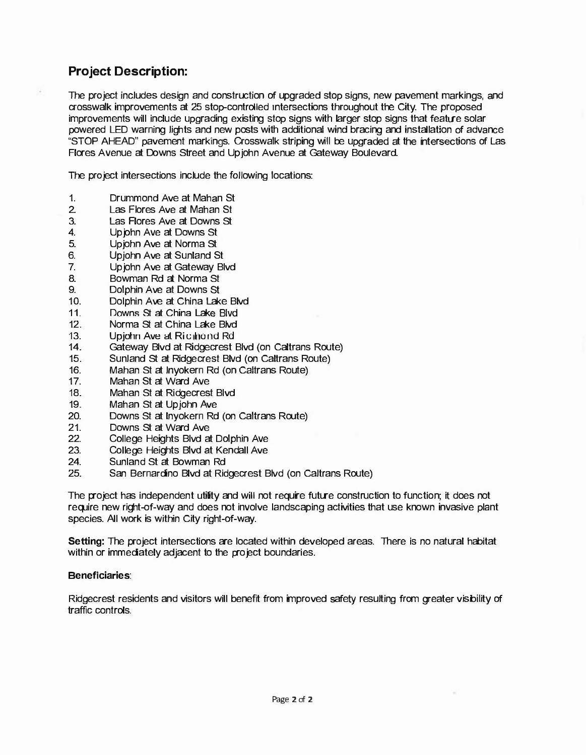## **Project Description:**

The project includes design and construction of upgraded stop signs, new pavement markings, and crosswalk improvements at 25 stop-controlled intersections throughout the City. The proposed improvements will include upgrading existing stop signs with larger stop signs that feature solar powered LED warning lights and new posts with additional wind bracing and installation of advance "STOP AHEAD" pavement markings. Crosswalk striping will be upgraded at the intersections of Las Flores Avenue at Downs Street and Upjohn Avenue at Gateway Boulevard.

The project intersections include the following locations:

- 1. Drummond Ave at Mahan St
- 2. Las Flores Ave at Mahan St
- 3. Las Flores Ave at Downs St
- 4. Upjohn Ave at Downs St
- 5. Upjohn Ave at Norma St
- 6. Upjohn Ave at Sunland St
- 7. Upjohn Ave at Gateway Blvd
- 8. Bowman Rd at Norma St
- 9. Dolphin Ave at Downs St
- 10. Dolphin Ave at China Lake Blvd
- 11. Downs St at China Lake Blvd
- 
- 12. Norma St at China Lake Blvd<br>13. Upiohn Ave at Richhond Rd 13. Upjohn Ave at Richhond Rd<br>14. Gateway Blyd at Ridgecrest
- 14. Gateway Blvd at Ridgecrest Blvd (on Caltrans Route)
- 15. Sunland St at Ridgecrest Blvd (on Caltrans Route)
- 16. Mahan St at lnyokern Rd (on Caltrans Route)
- 17. Mahan St at Ward Ave
- 18. Mahan St at Ridgecrest Blvd
- 19. Mahan St at Upjohn Ave<br>20. Downs St at Invokern Rd
- 20. Downs St at lnyokern Rd (on Caltrans Route)
- 21. Downs St at Ward Ave<br>22. College Heights Blyd a
- 22. College Heights Blvd at Dolphin Ave<br>23. College Heights Blvd at Kendall Ave
- 23. College Heights Blvd at Kendall Ave<br>24. Sunland St at Bowman Rd
- Sunland St at Bowman Rd
- 25. San Bernardino Blvd at Ridgecrest Blvd (on Caltrans Route)

The project has independent utility and will not require future construction to function; it does not require new right-of-way and does not involve landscaping activities that use known invasive plant species. All work is within City right-of-way.

**Setting:** The project intersections are located within developed areas. There is no natural habitat within or immediately adjacent to the project boundaries.

#### **Beneficiaries:**

Ridgecrest residents and visitors will benefit from improved safety resulting from greater visibility of traffic controls.